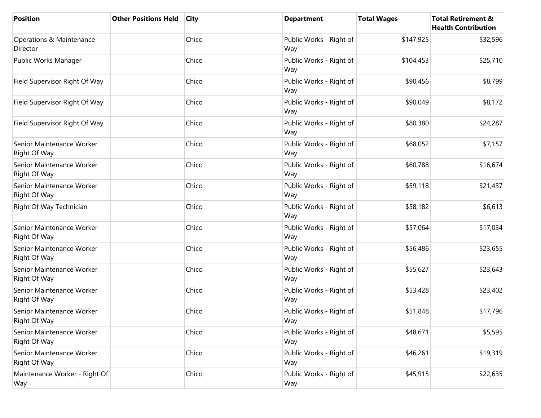| <b>Position</b>                           | <b>Other Positions Held</b> | <b>City</b> | <b>Department</b>              | <b>Total Wages</b> | <b>Total Retirement &amp;</b><br><b>Health Contribution</b> |
|-------------------------------------------|-----------------------------|-------------|--------------------------------|--------------------|-------------------------------------------------------------|
| Operations & Maintenance<br>Director      |                             | Chico       | Public Works - Right of<br>Way | \$147,925          | \$32,596                                                    |
| Public Works Manager                      |                             | Chico       | Public Works - Right of<br>Way | \$104,453          | \$25,710                                                    |
| Field Supervisor Right Of Way             |                             | Chico       | Public Works - Right of<br>Way | \$90,456           | \$8,799                                                     |
| Field Supervisor Right Of Way             |                             | Chico       | Public Works - Right of<br>Way | \$90,049           | \$8,172                                                     |
| Field Supervisor Right Of Way             |                             | Chico       | Public Works - Right of<br>Way | \$80,380           | \$24,287                                                    |
| Senior Maintenance Worker<br>Right Of Way |                             | Chico       | Public Works - Right of<br>Way | \$68,052           | \$7,157                                                     |
| Senior Maintenance Worker<br>Right Of Way |                             | Chico       | Public Works - Right of<br>Way | \$60,788           | \$16,674                                                    |
| Senior Maintenance Worker<br>Right Of Way |                             | Chico       | Public Works - Right of<br>Way | \$59,118           | \$21,437                                                    |
| Right Of Way Technician                   |                             | Chico       | Public Works - Right of<br>Way | \$58,182           | \$6,613                                                     |
| Senior Maintenance Worker<br>Right Of Way |                             | Chico       | Public Works - Right of<br>Way | \$57,064           | \$17,034                                                    |
| Senior Maintenance Worker<br>Right Of Way |                             | Chico       | Public Works - Right of<br>Way | \$56,486           | \$23,655                                                    |
| Senior Maintenance Worker<br>Right Of Way |                             | Chico       | Public Works - Right of<br>Way | \$55,627           | \$23,643                                                    |
| Senior Maintenance Worker<br>Right Of Way |                             | Chico       | Public Works - Right of<br>Way | \$53,428           | \$23,402                                                    |
| Senior Maintenance Worker<br>Right Of Way |                             | Chico       | Public Works - Right of<br>Way | \$51,848           | \$17,796                                                    |
| Senior Maintenance Worker<br>Right Of Way |                             | Chico       | Public Works - Right of<br>Way | \$48,671           | \$5,595                                                     |
| Senior Maintenance Worker<br>Right Of Way |                             | Chico       | Public Works - Right of<br>Way | \$46,261           | \$19,319                                                    |
| Maintenance Worker - Right Of<br>Way      |                             | Chico       | Public Works - Right of<br>Way | \$45,915           | \$22,635                                                    |